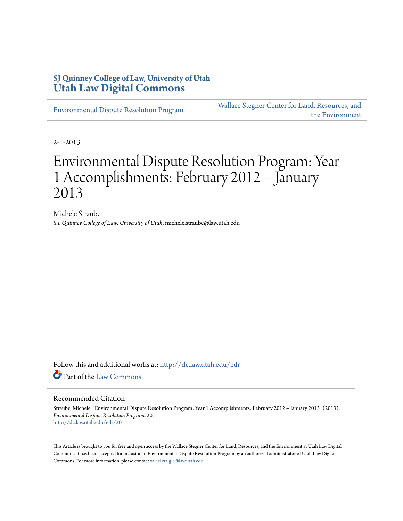### **SJ Quinney College of Law, University of Utah [Utah Law Digital Commons](http://dc.law.utah.edu?utm_source=dc.law.utah.edu%2Fedr%2F20&utm_medium=PDF&utm_campaign=PDFCoverPages)**

[Environmental Dispute Resolution Program](http://dc.law.utah.edu/edr?utm_source=dc.law.utah.edu%2Fedr%2F20&utm_medium=PDF&utm_campaign=PDFCoverPages)

[Wallace Stegner Center for Land, Resources, and](http://dc.law.utah.edu/stegner?utm_source=dc.law.utah.edu%2Fedr%2F20&utm_medium=PDF&utm_campaign=PDFCoverPages) [the Environment](http://dc.law.utah.edu/stegner?utm_source=dc.law.utah.edu%2Fedr%2F20&utm_medium=PDF&utm_campaign=PDFCoverPages)

2-1-2013

# Environmental Dispute Resolution Program: Year 1 Accomplishments: February 2012 – January 2013

Michele Straube *S.J. Quinney College of Law, University of Utah*, michele.straube@law.utah.edu

Follow this and additional works at: [http://dc.law.utah.edu/edr](http://dc.law.utah.edu/edr?utm_source=dc.law.utah.edu%2Fedr%2F20&utm_medium=PDF&utm_campaign=PDFCoverPages) Part of the [Law Commons](http://network.bepress.com/hgg/discipline/578?utm_source=dc.law.utah.edu%2Fedr%2F20&utm_medium=PDF&utm_campaign=PDFCoverPages)

#### Recommended Citation

Straube, Michele, "Environmental Dispute Resolution Program: Year 1 Accomplishments: February 2012 – January 2013" (2013). *Environmental Dispute Resolution Program*. 20. [http://dc.law.utah.edu/edr/20](http://dc.law.utah.edu/edr/20?utm_source=dc.law.utah.edu%2Fedr%2F20&utm_medium=PDF&utm_campaign=PDFCoverPages)

This Article is brought to you for free and open access by the Wallace Stegner Center for Land, Resources, and the Environment at Utah Law Digital Commons. It has been accepted for inclusion in Environmental Dispute Resolution Program by an authorized administrator of Utah Law Digital Commons. For more information, please contact [valeri.craigle@law.utah.edu](mailto:valeri.craigle@law.utah.edu).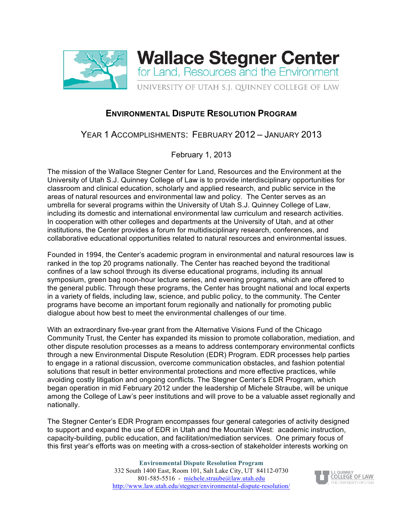

## **ENVIRONMENTAL DISPUTE RESOLUTION PROGRAM**

## YEAR 1 ACCOMPLISHMENTS: FEBRUARY 2012 – JANUARY 2013

February 1, 2013

The mission of the Wallace Stegner Center for Land, Resources and the Environment at the University of Utah S.J. Quinney College of Law is to provide interdisciplinary opportunities for classroom and clinical education, scholarly and applied research, and public service in the areas of natural resources and environmental law and policy. The Center serves as an umbrella for several programs within the University of Utah S.J. Quinney College of Law, including its domestic and international environmental law curriculum and research activities. In cooperation with other colleges and departments at the University of Utah, and at other institutions, the Center provides a forum for multidisciplinary research, conferences, and collaborative educational opportunities related to natural resources and environmental issues.

Founded in 1994, the Center's academic program in environmental and natural resources law is ranked in the top 20 programs nationally. The Center has reached beyond the traditional confines of a law school through its diverse educational programs, including its annual symposium, green bag noon-hour lecture series, and evening programs, which are offered to the general public. Through these programs, the Center has brought national and local experts in a variety of fields, including law, science, and public policy, to the community. The Center programs have become an important forum regionally and nationally for promoting public dialogue about how best to meet the environmental challenges of our time.

With an extraordinary five-year grant from the Alternative Visions Fund of the Chicago Community Trust, the Center has expanded its mission to promote collaboration, mediation, and other dispute resolution processes as a means to address contemporary environmental conflicts through a new Environmental Dispute Resolution (EDR) Program. EDR processes help parties to engage in a rational discussion, overcome communication obstacles, and fashion potential solutions that result in better environmental protections and more effective practices, while avoiding costly litigation and ongoing conflicts. The Stegner Center's EDR Program, which began operation in mid February 2012 under the leadership of Michele Straube, will be unique among the College of Law's peer institutions and will prove to be a valuable asset regionally and nationally.

The Stegner Center's EDR Program encompasses four general categories of activity designed to support and expand the use of EDR in Utah and the Mountain West: academic instruction, capacity-building, public education, and facilitation/mediation services. One primary focus of this first year's efforts was on meeting with a cross-section of stakeholder interests working on

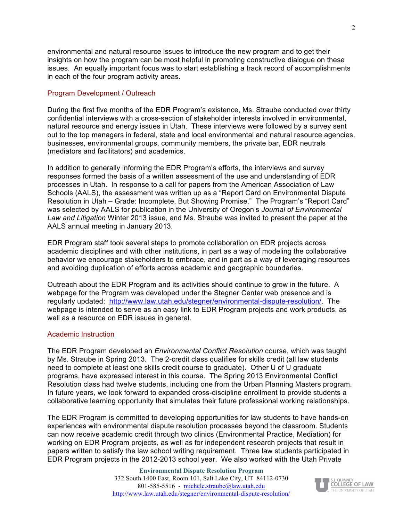environmental and natural resource issues to introduce the new program and to get their insights on how the program can be most helpful in promoting constructive dialogue on these issues. An equally important focus was to start establishing a track record of accomplishments in each of the four program activity areas.

#### Program Development / Outreach

During the first five months of the EDR Program's existence, Ms. Straube conducted over thirty confidential interviews with a cross-section of stakeholder interests involved in environmental, natural resource and energy issues in Utah. These interviews were followed by a survey sent out to the top managers in federal, state and local environmental and natural resource agencies, businesses, environmental groups, community members, the private bar, EDR neutrals (mediators and facilitators) and academics.

In addition to generally informing the EDR Program's efforts, the interviews and survey responses formed the basis of a written assessment of the use and understanding of EDR processes in Utah. In response to a call for papers from the American Association of Law Schools (AALS), the assessment was written up as a "Report Card on Environmental Dispute Resolution in Utah – Grade: Incomplete, But Showing Promise." The Program's "Report Card" was selected by AALS for publication in the University of Oregon's *Journal of Environmental Law and Litigation* Winter 2013 issue, and Ms. Straube was invited to present the paper at the AALS annual meeting in January 2013.

EDR Program staff took several steps to promote collaboration on EDR projects across academic disciplines and with other institutions, in part as a way of modeling the collaborative behavior we encourage stakeholders to embrace, and in part as a way of leveraging resources and avoiding duplication of efforts across academic and geographic boundaries.

Outreach about the EDR Program and its activities should continue to grow in the future. A webpage for the Program was developed under the Stegner Center web presence and is regularly updated: http://www.law.utah.edu/stegner/environmental-dispute-resolution/. The webpage is intended to serve as an easy link to EDR Program projects and work products, as well as a resource on EDR issues in general.

#### Academic Instruction

The EDR Program developed an *Environmental Conflict Resolution* course, which was taught by Ms. Straube in Spring 2013. The 2-credit class qualifies for skills credit (all law students need to complete at least one skills credit course to graduate). Other U of U graduate programs, have expressed interest in this course. The Spring 2013 Environmental Conflict Resolution class had twelve students, including one from the Urban Planning Masters program. In future years, we look forward to expanded cross-discipline enrollment to provide students a collaborative learning opportunity that simulates their future professional working relationships.

The EDR Program is committed to developing opportunities for law students to have hands-on experiences with environmental dispute resolution processes beyond the classroom. Students can now receive academic credit through two clinics (Environmental Practice, Mediation) for working on EDR Program projects, as well as for independent research projects that result in papers written to satisfy the law school writing requirement. Three law students participated in EDR Program projects in the 2012-2013 school year. We also worked with the Utah Private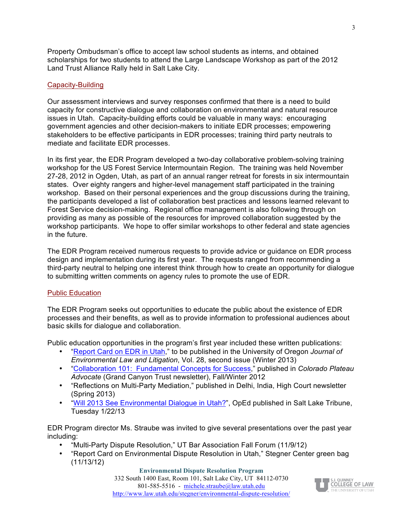Property Ombudsman's office to accept law school students as interns, and obtained scholarships for two students to attend the Large Landscape Workshop as part of the 2012 Land Trust Alliance Rally held in Salt Lake City.

#### Capacity-Building

Our assessment interviews and survey responses confirmed that there is a need to build capacity for constructive dialogue and collaboration on environmental and natural resource issues in Utah. Capacity-building efforts could be valuable in many ways: encouraging government agencies and other decision-makers to initiate EDR processes; empowering stakeholders to be effective participants in EDR processes; training third party neutrals to mediate and facilitate EDR processes.

In its first year, the EDR Program developed a two-day collaborative problem-solving training workshop for the US Forest Service Intermountain Region. The training was held November 27-28, 2012 in Ogden, Utah, as part of an annual ranger retreat for forests in six intermountain states. Over eighty rangers and higher-level management staff participated in the training workshop. Based on their personal experiences and the group discussions during the training, the participants developed a list of collaboration best practices and lessons learned relevant to Forest Service decision-making. Regional office management is also following through on providing as many as possible of the resources for improved collaboration suggested by the workshop participants. We hope to offer similar workshops to other federal and state agencies in the future.

The EDR Program received numerous requests to provide advice or guidance on EDR process design and implementation during its first year. The requests ranged from recommending a third-party neutral to helping one interest think through how to create an opportunity for dialogue to submitting written comments on agency rules to promote the use of EDR.

#### Public Education

The EDR Program seeks out opportunities to educate the public about the existence of EDR processes and their benefits, as well as to provide information to professional audiences about basic skills for dialogue and collaboration.

Public education opportunities in the program's first year included these written publications:

- ["Report Card on EDR in Utah,](http://www.law.utah.edu/wp-content/uploads/Report-Card.AALS_.draft_.pdf)" to be published in the University of Oregon *Journal of Environmental Law and Litigation*, Vol. 28, second issue (Winter 2013)
- ["Collaboration 101: Fundamental Concepts for Success,](http://www.grandcanyontrust.org/documents/2012_advocateWinter.pdf)" published in *Colorado Plateau Advocate* (Grand Canyon Trust newsletter), Fall/Winter 2012
- "Reflections on Multi-Party Mediation," published in Delhi, India, High Court newsletter (Spring 2013)
- ["Will 2013 See Environmental Dialogue in Utah?",](http://www.sltrib.com/sltrib/opinion/55649697-82/dialogue-environmental-utah-issues.html.csp) OpEd published in Salt Lake Tribune, Tuesday 1/22/13

EDR Program director Ms. Straube was invited to give several presentations over the past year including:

- "Multi-Party Dispute Resolution," UT Bar Association Fall Forum (11/9/12)
- "Report Card on Environmental Dispute Resolution in Utah," Stegner Center green bag (11/13/12)

**Environmental Dispute Resolution Program** 332 South 1400 East, Room 101, Salt Lake City, UT 84112-0730 801-585-5516 - michele.straube@law.utah.edu http://www.law.utah.edu/stegner/environmental-dispute-resolution/